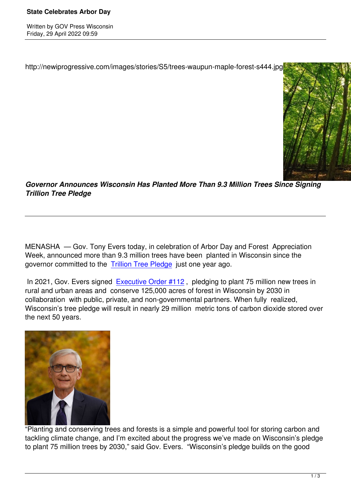Written by Government and the Government and the Government and the Government and the Government and the Government and the Government and the Government and the Government and the Government and the Government and the Go

http://newiprogressive.com/images/stories/S5/trees-waupun-maple-forest-s444.jpg



*Governor Announces Wisconsin Has Planted More Than 9.3 Million Trees Since Signing Trillion Tree Pledge*

MENASHA — Gov. Tony Evers today, in celebration of Arbor Day and Forest Appreciation Week, announced more than 9.3 million trees have been planted in Wisconsin since the governor committed to the Trillion Tree Pledge just one year ago.

In 2021, Gov. Evers signed Executive Order #112, pledging to plant 75 million new trees in rural and urban areas and [conserve 125,000 a](https://lnks.gd/l/eyJhbGciOiJIUzI1NiJ9.eyJidWxsZXRpbl9saW5rX2lkIjoxMDAsInVyaSI6ImJwMjpjbGljayIsImJ1bGxldGluX2lkIjoiMjAyMjA0MjkuNTcxODA0OTEiLCJ1cmwiOiJodHRwczovL3VzLjF0Lm9yZy9wbGVkZ2Uvc3RhdGUtb2Ytd2lzY29uc2luLWZvcmVzdC1jb25zZXJ2YXRpb24tYW5kLXRyZWUtcGxhbnRpbmctcGxlZGdlLyJ9.p_pKaUth2WYyvAL3m2YSyI8VS5l5U-56ZNQ3FMSENqk/s/933639323/br/130584664799-l)cres of forest in Wisconsin by 2030 in collaboration with public, private, and non-governmental partners. When fully realized, Wisconsin's tree pledge will r[esult in nearly 29 millio](https://lnks.gd/l/eyJhbGciOiJIUzI1NiJ9.eyJidWxsZXRpbl9saW5rX2lkIjoxMDEsInVyaSI6ImJwMjpjbGljayIsImJ1bGxldGluX2lkIjoiMjAyMjA0MjkuNTcxODA0OTEiLCJ1cmwiOiJodHRwczovL2NvbnRlbnQuZ292ZGVsaXZlcnkuY29tL2FjY291bnRzL1dJR09WL2J1bGxldGlucy8yY2VjOGJhIn0.jGeiObkitP8uTpmOgb5vgp1Fr14tW5DZZ4RTiVfHHOo/s/933639323/br/130584664799-l)n metric tons of carbon dioxide stored over the next 50 years.



"Planting and conserving trees and forests is a simple and powerful tool for storing carbon and tackling climate change, and I'm excited about the progress we've made on Wisconsin's pledge to plant 75 million trees by 2030," said Gov. Evers. "Wisconsin's pledge builds on the good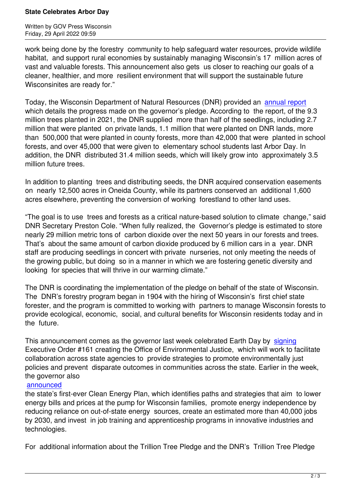work being done by the forestry community to help safeguard water resources, provide wildlife habitat, and support rural economies by sustainably managing Wisconsin's 17 million acres of vast and valuable forests. This announcement also gets us closer to reaching our goals of a cleaner, healthier, and more resilient environment that will support the sustainable future Wisconsinites are ready for."

Today, the Wisconsin Department of Natural Resources (DNR) provided an annual report which details the progress made on the governor's pledge. According to the report, of the 9.3 million trees planted in 2021, the DNR supplied more than half of the seedlings, including 2.7 million that were planted on private lands, 1.1 million that were planted on D[NR lands, mo](https://lnks.gd/l/eyJhbGciOiJIUzI1NiJ9.eyJidWxsZXRpbl9saW5rX2lkIjoxMDIsInVyaSI6ImJwMjpjbGljayIsImJ1bGxldGluX2lkIjoiMjAyMjA0MjkuNTcxODA0OTEiLCJ1cmwiOiJodHRwczovL2NvbnRlbnQuZ292ZGVsaXZlcnkuY29tL2F0dGFjaG1lbnRzL1dJR09WLzIwMjIvMDQvMjYvZmlsZV9hdHRhY2htZW50cy8yMTQxNjEzL1RyaWxsaW9uVHJlZXNBbm51YWxSZXBvcnQyMDIxX2ZpbmFsLnBkZiJ9.KJ7bRvfrQA4nHqV7yiwPGt5gNvz5A4bBMwVOFX-MfXM/s/933639323/br/130584664799-l)re than 500,000 that were planted in county forests, more than 42,000 that were planted in school forests, and over 45,000 that were given to elementary school students last Arbor Day. In addition, the DNR distributed 31.4 million seeds, which will likely grow into approximately 3.5 million future trees.

In addition to planting trees and distributing seeds, the DNR acquired conservation easements on nearly 12,500 acres in Oneida County, while its partners conserved an additional 1,600 acres elsewhere, preventing the conversion of working forestland to other land uses.

"The goal is to use trees and forests as a critical nature-based solution to climate change," said DNR Secretary Preston Cole. "When fully realized, the Governor's pledge is estimated to store nearly 29 million metric tons of carbon dioxide over the next 50 years in our forests and trees. That's about the same amount of carbon dioxide produced by 6 million cars in a year. DNR staff are producing seedlings in concert with private nurseries, not only meeting the needs of the growing public, but doing so in a manner in which we are fostering genetic diversity and looking for species that will thrive in our warming climate."

The DNR is coordinating the implementation of the pledge on behalf of the state of Wisconsin. The DNR's forestry program began in 1904 with the hiring of Wisconsin's first chief state forester, and the program is committed to working with partners to manage Wisconsin forests to provide ecological, economic, social, and cultural benefits for Wisconsin residents today and in the future.

This announcement comes as the governor last week celebrated Earth Day by signing Executive Order #161 creating the Office of Environmental Justice, which will work to facilitate collaboration across state agencies to provide strategies to promote environmentally just policies and prevent disparate outcomes in communities across the state. Earli[er in the](https://lnks.gd/l/eyJhbGciOiJIUzI1NiJ9.eyJidWxsZXRpbl9saW5rX2lkIjoxMDMsInVyaSI6ImJwMjpjbGljayIsImJ1bGxldGluX2lkIjoiMjAyMjA0MjkuNTcxODA0OTEiLCJ1cmwiOiJodHRwczovL2NvbnRlbnQuZ292ZGVsaXZlcnkuY29tL2FjY291bnRzL1dJR09WL2J1bGxldGlucy8zMTQ5YWIwIn0.czqw9kqGeh1jnf3pCrBGsDLmiVVltTNvslKvdIwPBz8/s/933639323/br/130584664799-l) week, the governor also

## announced

the state's first-ever Clean Energy Plan, which identifies paths and strategies that aim to lower energy bills and prices at the pump for Wisconsin families, promote energy independence by [reducing rel](https://lnks.gd/l/eyJhbGciOiJIUzI1NiJ9.eyJidWxsZXRpbl9saW5rX2lkIjoxMDQsInVyaSI6ImJwMjpjbGljayIsImJ1bGxldGluX2lkIjoiMjAyMjA0MjkuNTcxODA0OTEiLCJ1cmwiOiJodHRwczovL2NvbnRlbnQuZ292ZGVsaXZlcnkuY29tL2FjY291bnRzL1dJR09WL2J1bGxldGlucy8zMTQwN2U1In0.8y9Dq2aoU60oxRee8WlHnygUqvWSsdVNFnIsyvIXOTU/s/933639323/br/130584664799-l)iance on out-of-state energy sources, create an estimated more than 40,000 jobs by 2030, and invest in job training and apprenticeship programs in innovative industries and technologies.

For additional information about the Trillion Tree Pledge and the DNR's Trillion Tree Pledge